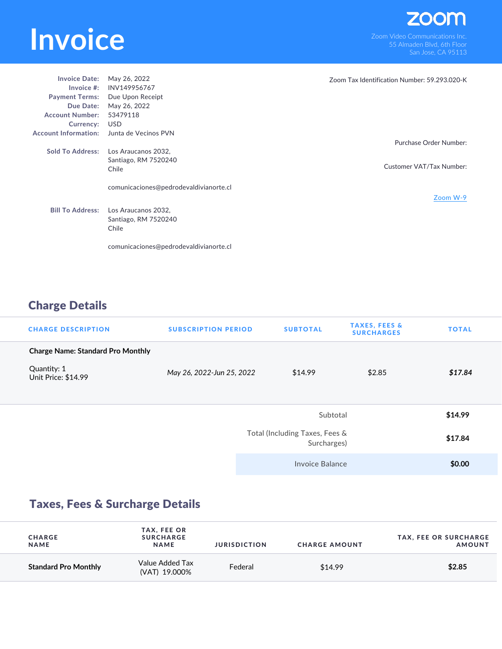## **INVOICE**<br>
Som Video Communications Inc.<br>
San Jose CA 95113

| <b>Invoice Date:</b>        | May 26, 2022                           | Zoom Tax Identification Number: 59.293.020-K |
|-----------------------------|----------------------------------------|----------------------------------------------|
| Invoice $#$ :               | INV149956767                           |                                              |
| <b>Payment Terms:</b>       | Due Upon Receipt                       |                                              |
| Due Date:                   | May 26, 2022                           |                                              |
| <b>Account Number:</b>      | 53479118                               |                                              |
| Currency:                   | USD                                    |                                              |
| <b>Account Information:</b> | Junta de Vecinos PVN                   |                                              |
|                             |                                        | Purchase Order Number:                       |
| <b>Sold To Address:</b>     | Los Araucanos 2032.                    |                                              |
|                             | Santiago, RM 7520240                   |                                              |
|                             | Chile                                  | Customer VAT/Tax Number:                     |
|                             |                                        |                                              |
|                             | comunicaciones@pedrodevaldivianorte.cl |                                              |
|                             |                                        | Zoom W-9                                     |
|                             |                                        |                                              |
| <b>Bill To Address:</b>     | Los Araucanos 2032,                    |                                              |
|                             | Santiago, RM 7520240                   |                                              |
|                             | Chile                                  |                                              |
|                             |                                        |                                              |
|                             | comunicaciones@pedrodevaldivianorte.cl |                                              |

## Charge Details

| <b>CHARGE DESCRIPTION</b>                | <b>SUBSCRIPTION PERIOD</b> | <b>SUBTOTAL</b>                               | <b>TAXES, FEES &amp;</b><br><b>SURCHARGES</b> | <b>TOTAL</b> |
|------------------------------------------|----------------------------|-----------------------------------------------|-----------------------------------------------|--------------|
| <b>Charge Name: Standard Pro Monthly</b> |                            |                                               |                                               |              |
| Quantity: 1<br>Unit Price: \$14.99       | May 26, 2022-Jun 25, 2022  | \$14.99                                       | \$2.85                                        | \$17.84      |
|                                          |                            | Subtotal                                      |                                               | \$14.99      |
|                                          |                            | Total (Including Taxes, Fees &<br>Surcharges) |                                               | \$17.84      |
|                                          |                            | Invoice Balance                               |                                               | \$0.00       |

## Taxes, Fees & Surcharge Details

| <b>CHARGE</b><br><b>NAME</b> | TAX, FEE OR<br><b>SURCHARGE</b><br><b>NAME</b> | <b>JURISDICTION</b> | <b>CHARGE AMOUNT</b> | <b>TAX, FEE OR SURCHARGE</b><br><b>AMOUNT</b> |
|------------------------------|------------------------------------------------|---------------------|----------------------|-----------------------------------------------|
| <b>Standard Pro Monthly</b>  | Value Added Tax<br>(VAT) 19.000%               | Federal             | \$14.99              | \$2.85                                        |